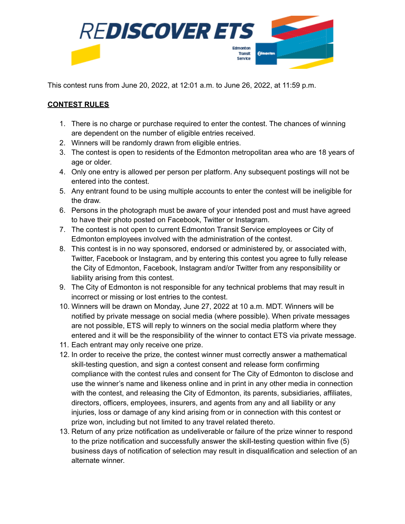

This contest runs from June 20, 2022, at 12:01 a.m. to June 26, 2022, at 11:59 p.m.

## **CONTEST RULES**

- 1. There is no charge or purchase required to enter the contest. The chances of winning are dependent on the number of eligible entries received.
- 2. Winners will be randomly drawn from eligible entries.
- 3. The contest is open to residents of the Edmonton metropolitan area who are 18 years of age or older.
- 4. Only one entry is allowed per person per platform. Any subsequent postings will not be entered into the contest.
- 5. Any entrant found to be using multiple accounts to enter the contest will be ineligible for the draw.
- 6. Persons in the photograph must be aware of your intended post and must have agreed to have their photo posted on Facebook, Twitter or Instagram.
- 7. The contest is not open to current Edmonton Transit Service employees or City of Edmonton employees involved with the administration of the contest.
- 8. This contest is in no way sponsored, endorsed or administered by, or associated with, Twitter, Facebook or Instagram, and by entering this contest you agree to fully release the City of Edmonton, Facebook, Instagram and/or Twitter from any responsibility or liability arising from this contest.
- 9. The City of Edmonton is not responsible for any technical problems that may result in incorrect or missing or lost entries to the contest.
- 10. Winners will be drawn on Monday, June 27, 2022 at 10 a.m. MDT. Winners will be notified by private message on social media (where possible). When private messages are not possible, ETS will reply to winners on the social media platform where they entered and it will be the responsibility of the winner to contact ETS via private message.
- 11. Each entrant may only receive one prize.
- 12. In order to receive the prize, the contest winner must correctly answer a mathematical skill-testing question, and sign a contest consent and release form confirming compliance with the contest rules and consent for The City of Edmonton to disclose and use the winner's name and likeness online and in print in any other media in connection with the contest, and releasing the City of Edmonton, its parents, subsidiaries, affiliates, directors, officers, employees, insurers, and agents from any and all liability or any injuries, loss or damage of any kind arising from or in connection with this contest or prize won, including but not limited to any travel related thereto.
- 13. Return of any prize notification as undeliverable or failure of the prize winner to respond to the prize notification and successfully answer the skill-testing question within five (5) business days of notification of selection may result in disqualification and selection of an alternate winner.